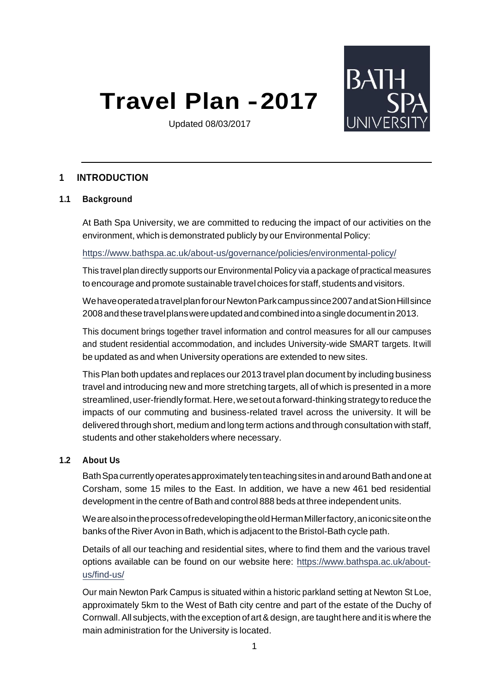# **Travel Plan -2017**



Updated 08/03/2017

# **1 INTRODUCTION**

#### **1.1 Background**

At Bath Spa University, we are committed to reducing the impact of our activities on the environment, which is demonstrated publicly by our Environmental Policy:

<https://www.bathspa.ac.uk/about-us/governance/policies/environmental-policy/>

This travel plan directly supports our Environmental Policy via a package of practical measures to encourage and promote sustainable travel choices for staff, students and visitors.

Wehave operated a travel plan for our Newton Park campus since 2007 and atSion Hill since 2008 and these travel plans were updated and combined into a single document in2013.

This document brings together travel information and control measures for all our campuses and student residential accommodation, and includes University-wide SMART targets. Itwill be updated as and when University operations are extended to new sites.

This Plan both updates and replaces our 2013 travel plan document by including business travel and introducing new and more stretching targets, all of which is presented in a more streamlined, user-friendly format. Here, we set out a forward-thinking strategy to reduce the impacts of our commuting and business-related travel across the university. It will be delivered through short, medium and long term actions and through consultation with staff, students and other stakeholders where necessary.

#### **1.2 About Us**

BathSpacurrentlyoperatesapproximately tenteachingsitesinandaroundBathandoneat Corsham, some 15 miles to the East. In addition, we have a new 461 bed residential development in the centre of Bath and control 888 beds at three independent units.

Weare also inthe process ofredeveloping the old Herman Miller factory, aniconic site onthe banks of the River Avon in Bath, which is adjacent to the Bristol-Bath cycle path.

Details of all our teaching and residential sites, where to find them and the various travel options available can be found on our website here: [https://www.bathspa.ac.uk/about](https://www.bathspa.ac.uk/about-us/find-us/)[us/find-us/](https://www.bathspa.ac.uk/about-us/find-us/)

Our main Newton Park Campus is situated within a historic parkland setting at Newton St Loe, approximately 5km to the West of Bath city centre and part of the estate of the Duchy of Cornwall. All subjects, with the exception of art & design, are taught here and it is where the main administration for the University is located.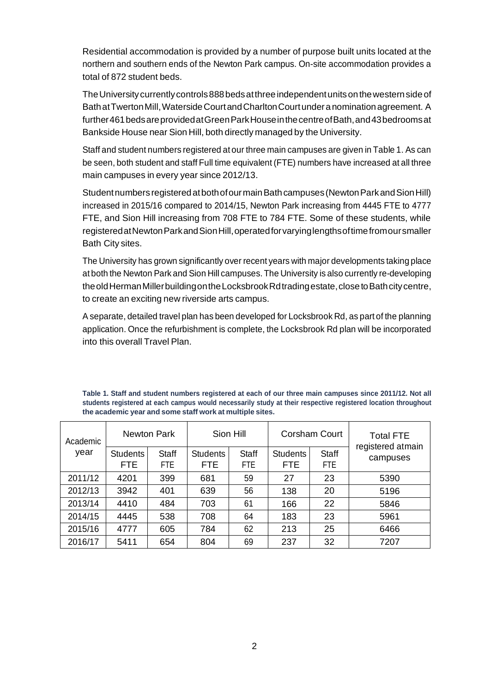Residential accommodation is provided by a number of purpose built units located at the northern and southern ends of the Newton Park campus. On-site accommodation provides a total of 872 student beds.

The University currently controls 888 beds at three independent units on the western side of BathatTwertonMill,WatersideCourtandCharltonCourtunderanominationagreement. A further461 beds are provided at Green Park House in the centre of Bath, and 43 bedrooms at Bankside House near Sion Hill, both directly managed by the University.

Staff and student numbers registered at our three main campuses are given in [Table](#page-1-0) 1. As can be seen, both student and staff Full time equivalent (FTE) numbers have increased at all three main campuses in every year since 2012/13.

Student numbers registered at both of our main Bath campuses (Newton Park and Sion Hill) increased in 2015/16 compared to 2014/15, Newton Park increasing from 4445 FTE to 4777 FTE, and Sion Hill increasing from 708 FTE to 784 FTE. Some of these students, while registeredatNewtonParkandSionHill,operatedforvaryinglengthsoftimefromoursmaller Bath City sites.

The University has grown significantly over recent years with major developments taking place at both the Newton Park and Sion Hill campuses. The University is also currently re-developing theoldHermanMillerbuildingontheLocksbrookRdtradingestate,closetoBathcitycentre, to create an exciting new riverside arts campus.

A separate, detailed travel plan has been developed for Locksbrook Rd, as part of the planning application. Once the refurbishment is complete, the Locksbrook Rd plan will be incorporated into this overall Travel Plan.

**Table 1. Staff and student numbers registered at each of our three main campuses since 2011/12. Not all students registered at each campus would necessarily study at their respective registered location throughout the academic year and some staff work at multiple sites.** 

<span id="page-1-0"></span>

| Academic | Newton Park                   |               | Sion Hill                     |                     | Corsham Court           |                            | <b>Total FTE</b>              |
|----------|-------------------------------|---------------|-------------------------------|---------------------|-------------------------|----------------------------|-------------------------------|
| year     | <b>Students</b><br><b>FTE</b> | Staff<br>FTE. | <b>Students</b><br><b>FTE</b> | Staff<br><b>FTE</b> | <b>Students</b><br>FTE. | <b>Staff</b><br><b>FTE</b> | registered atmain<br>campuses |
| 2011/12  | 4201                          | 399           | 681                           | 59                  | 27                      | 23                         | 5390                          |
| 2012/13  | 3942                          | 401           | 639                           | 56                  | 138                     | 20                         | 5196                          |
| 2013/14  | 4410                          | 484           | 703                           | 61                  | 166                     | 22                         | 5846                          |
| 2014/15  | 4445                          | 538           | 708                           | 64                  | 183                     | 23                         | 5961                          |
| 2015/16  | 4777                          | 605           | 784                           | 62                  | 213                     | 25                         | 6466                          |
| 2016/17  | 5411                          | 654           | 804                           | 69                  | 237                     | 32                         | 7207                          |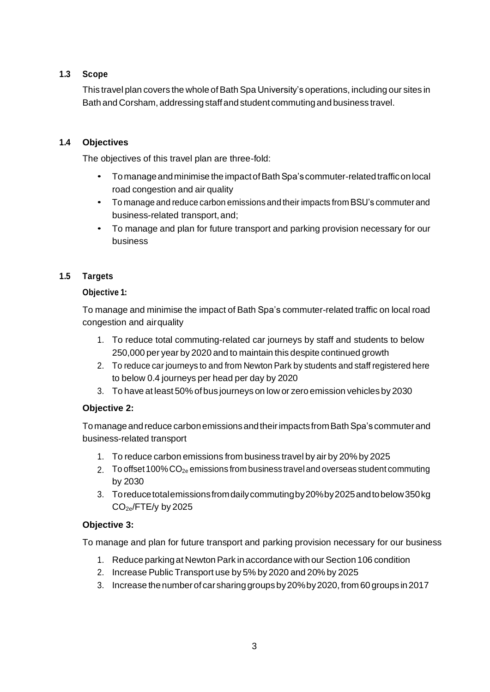# **1.3 Scope**

This travel plan covers the whole of Bath Spa University's operations, including our sites in Bath and Corsham, addressingstaffand student commutingand business travel.

# **1.4 Objectives**

The objectives of this travel plan are three-fold:

- Tomanageandminimise the impactofBathSpa'scommuter-relatedtrafficonlocal road congestion and air quality
- To manage and reduce carbon emissions and their impacts from BSU's commuter and business-related transport,and;
- To manage and plan for future transport and parking provision necessary for our business

# **1.5 Targets**

# **Objective 1:**

To manage and minimise the impact of Bath Spa's commuter-related traffic on local road congestion and airquality

- 1. To reduce total commuting-related car journeys by staff and students to below 250,000 per year by 2020 and to maintain this despite continued growth
- 2. To reduce car journeys to and from Newton Park by students and staff registered here to below 0.4 journeys per head per day by 2020
- 3. To have at least 50% ofbus journeys on low or zero emission vehicles by 2030

# **Objective 2:**

To manage and reduce carbon emissions and their impacts from Bath Spa's commuter and business-related transport

- 1. To reduce carbon emissions from business travel by air by 20% by 2025
- 2. To offset 100%  $CO_{2e}$  emissions from business travel and overseas student commuting by 2030
- 3. Toreducetotalemissionsfromdailycommutingby20%by2025andtobelow350kg  $CO<sub>2e</sub>/FTE/y$  by 2025

# **Objective 3:**

To manage and plan for future transport and parking provision necessary for our business

- 1. Reduce parkingat NewtonPark in accordance with our Section 106 condition
- 2. Increase Public Transport use by 5% by 2020 and 20% by 2025
- 3. Increase thenumberof carsharinggroups by20%by2020,from 60 groups in2017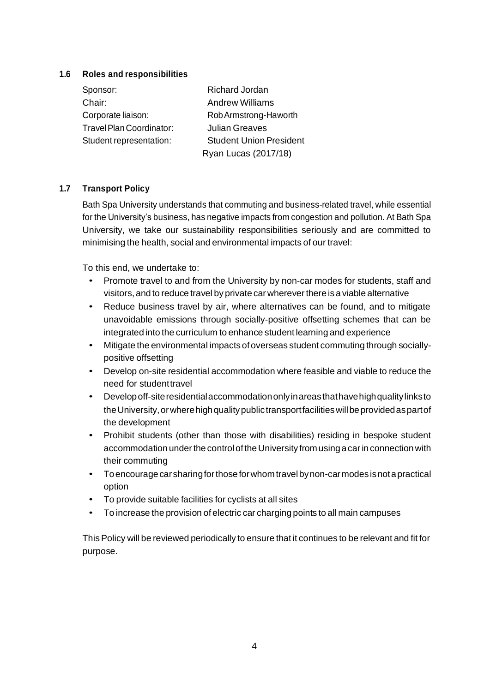## **1.6 Roles and responsibilities**

| Sponsor:                 | <b>Richard Jordan</b>          |
|--------------------------|--------------------------------|
| Chair:                   | <b>Andrew Williams</b>         |
| Corporate liaison:       | Rob Armstrong-Haworth          |
| Travel Plan Coordinator: | <b>Julian Greaves</b>          |
| Student representation:  | <b>Student Union President</b> |
|                          | Ryan Lucas (2017/18)           |

# **1.7 Transport Policy**

Bath Spa University understands that commuting and business-related travel, while essential for the University's business, has negative impacts from congestion and pollution. At Bath Spa University, we take our sustainability responsibilities seriously and are committed to minimising the health, social and environmental impacts of our travel:

To this end, we undertake to:

- Promote travel to and from the University by non-car modes for students, staff and visitors,and to reduce travel by private car whereverthere isa viable alternative
- Reduce business travel by air, where alternatives can be found, and to mitigate unavoidable emissions through socially-positive offsetting schemes that can be integrated into the curriculum to enhance student learning and experience
- Mitigate the environmental impacts ofoverseas student commuting through sociallypositive offsetting
- Develop on-site residential accommodation where feasible and viable to reduce the need for studenttravel
- Developoff-siteresidentialaccommodationonlyinareasthathavehighqualitylinksto the University, or where high quality public transport facilities will be provided as part of the development
- Prohibit students (other than those with disabilities) residing in bespoke student accommodation under the control of the University from using a car in connection with their commuting
- To encourage car sharing for those for whom travel by non-car modes is not a practical option
- To provide suitable facilities for cyclists at all sites
- To increase the provision of electric car charging points to all main campuses

ThisPolicy will be reviewed periodically to ensure that it continues to be relevant and fit for purpose.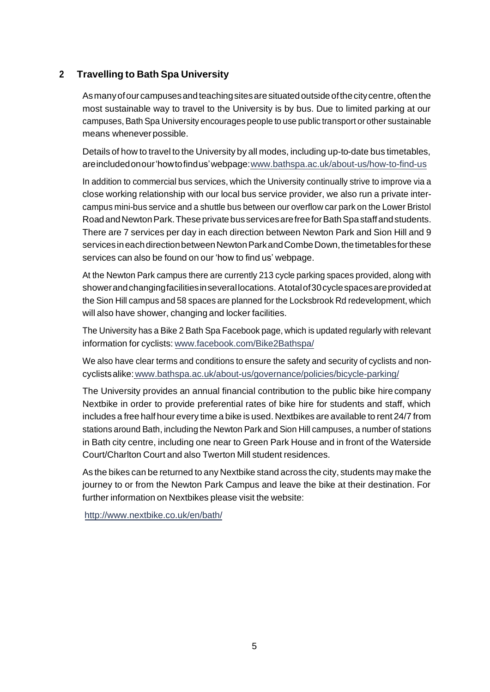# **2 Travelling to Bath Spa University**

As manyofourcampusesandteachingsitesaresituatedoutsideofthecitycentre,oftenthe most sustainable way to travel to the University is by bus. Due to limited parking at our campuses, Bath Spa University encourages people to use public transport or other sustainable means wheneverpossible.

Details of how to travel to the University by all modes, including up-to-date bus timetables, are included onour'howtofind us'webpage[:www.bathspa.ac.uk/about-us/how-to-find-us](http://www.bathspa.ac.uk/about-us/how-to-find-us)

In addition to commercial bus services, which the University continually strive to improve via a close working relationship with our local bus service provider, we also run a private intercampus mini-bus service and a shuttle bus between our overflow car park on the Lower Bristol RoadandNewtonPark.Theseprivatebus servicesarefreeforBathSpastaffandstudents. There are 7 services per day in each direction between Newton Park and Sion Hill and 9 servicesineachdirectionbetweenNewtonParkandCombeDown,thetimetablesforthese services can also be found on our 'how to find us' webpage.

At the Newton Park campus there are currently 213 cycle parking spaces provided, along with showerandchangingfacilitiesinseverallocations. Atotalof30cyclespacesareprovidedat the Sion Hill campus and 58 spaces are planned for the Locksbrook Rd redevelopment, which will also have shower, changing and locker facilities.

The University has a Bike 2 Bath Spa Facebook page, which is updated regularly with relevant information for cyclists[: www.facebook.com/Bike2Bathspa/](http://www.facebook.com/Bike2Bathspa/)

We also have clear terms and conditions to ensure the safety and security of cyclists and noncyclists alike[:www.bathspa.ac.uk/about-us/governance/policies/bicycle-parking/](http://www.bathspa.ac.uk/about-us/governance/policies/bicycle-parking/)

The University provides an annual financial contribution to the public bike hire company Nextbike in order to provide preferential rates of bike hire for students and staff, which includes a free halfhour every time a bike is used. Nextbikes are available to rent 24/7 from stations around Bath, including the Newton Park and Sion Hill campuses, a number of stations in Bath city centre, including one near to Green Park House and in front of the Waterside Court/Charlton Court and also Twerton Mill student residences.

As the bikes can be returned to any Nextbike stand across the city, students may make the journey to or from the Newton Park Campus and leave the bike at their destination. For further information on Nextbikes please visit the website:

<http://www.nextbike.co.uk/en/bath/>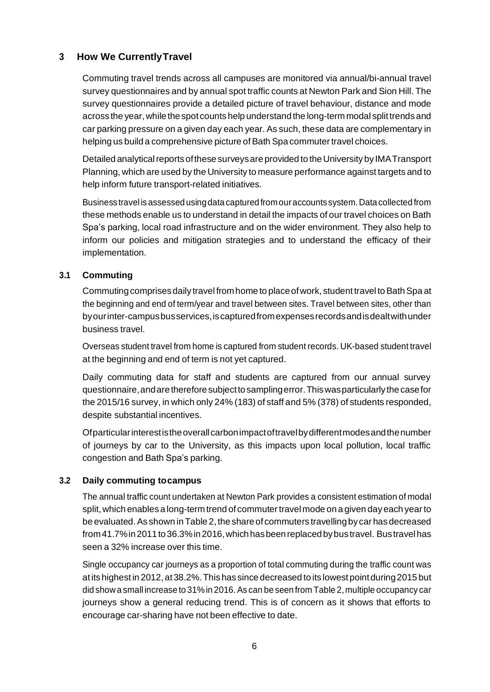# **3 How We CurrentlyTravel**

Commuting travel trends across all campuses are monitored via annual/bi-annual travel survey questionnaires and by annual spot traffic counts at Newton Park and Sion Hill. The survey questionnaires provide a detailed picture of travel behaviour, distance and mode across the year,while thespot counts help understandthe long-term modal splittrends and car parking pressure on a given day each year. As such, these data are complementary in helping us build a comprehensive picture of Bath Spa commuter travel choices.

Detailed analytical reports of these surveys are provided to the University by IMA Transport Planning, which are used by the University to measure performance against targets and to help inform future transport-related initiatives.

Business travel is assessed usingdata captured fromouraccounts system.Data collected from these methods enable us to understand in detail the impacts of our travel choices on Bath Spa's parking, local road infrastructure and on the wider environment. They also help to inform our policies and mitigation strategies and to understand the efficacy of their implementation.

# **3.1 Commuting**

Commuting comprises daily travel from home to place of work, student travel to Bath Spa at the beginning and end of term/year and travel between sites. Travel between sites, other than byourinter-campusbusservices,iscapturedfromexpensesrecordsandisdealtwithunder business travel.

Overseas student travel from home is captured from student records. UK-based student travel at the beginning and end of term is not yet captured.

Daily commuting data for staff and students are captured from our annual survey questionnaire,andarethereforesubjecttosamplingerror.Thiswasparticularlythecasefor the 2015/16 survey, in which only 24% (183) of staff and 5% (378) of students responded, despite substantial incentives.

Ofparticularinterestistheoverallcarbonimpactoftravelbydifferentmodesandthenumber of journeys by car to the University, as this impacts upon local pollution, local traffic congestion and Bath Spa's parking.

# **3.2 Daily commuting tocampus**

The annual traffic count undertaken at Newton Park provides a consistent estimation of modal split, which enables a long-term trend of commuter travel mode on a given day each year to be evaluated. As shown in Table 2, the share of commuters travelling by car has decreased from41.7%in2011to36.3%in2016,whichhasbeenreplacedbybustravel. Bustravelhas seen a 32% increase over this time.

Single occupancy car journeys as a proportion of total commuting during the traffic count was atitshighest in 2012,at38.2%.This has since decreased to its lowestpointduring2015 but did show a small increase to 31% in 2016. As can be seen from [Table](#page-6-0) 2, multiple occupancy car journeys show a general reducing trend. This is of concern as it shows that efforts to encourage car-sharing have not been effective to date.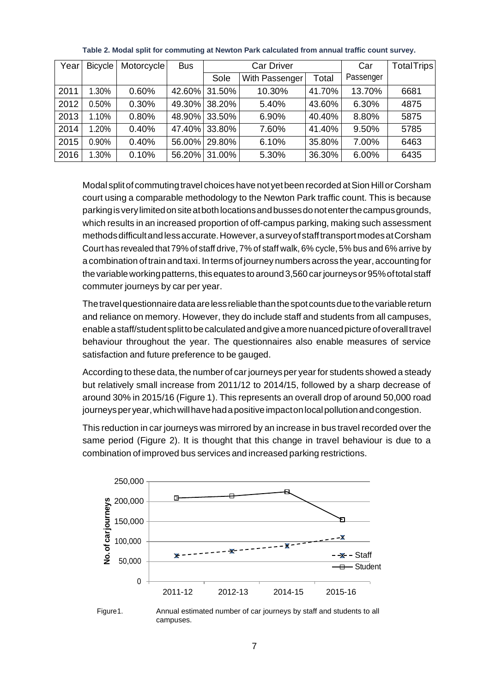<span id="page-6-0"></span>

| Year | <b>Bicycle</b> | Motorcycle | <b>Bus</b> | <b>Car Driver</b> |                |        | Car       | Total Trips |
|------|----------------|------------|------------|-------------------|----------------|--------|-----------|-------------|
|      |                |            |            | Sole              | With Passenger | Total  | Passenger |             |
| 2011 | 1.30%          | 0.60%      | 42.60%     | 31.50%            | 10.30%         | 41.70% | 13.70%    | 6681        |
| 2012 | 0.50%          | 0.30%      | 49.30%     | 38.20%            | 5.40%          | 43.60% | 6.30%     | 4875        |
| 2013 | 1.10%          | 0.80%      | 48.90%     | 33.50%            | 6.90%          | 40.40% | 8.80%     | 5875        |
| 2014 | 1.20%          | 0.40%      | 47.40%     | 33.80%            | 7.60%          | 41.40% | 9.50%     | 5785        |
| 2015 | 0.90%          | 0.40%      | 56.00%     | 29.80%            | 6.10%          | 35.80% | 7.00%     | 6463        |
| 2016 | 1.30%          | 0.10%      | 56.20%     | 31.00%            | 5.30%          | 36.30% | 6.00%     | 6435        |

**Table 2. Modal split for commuting at Newton Park calculated from annual traffic count survey.**

Modal splitof commutingtravel choices have not yetbeen recorded atSion Hill orCorsham court using a comparable methodology to the Newton Park traffic count. This is because parkingisverylimitedonsiteatbothlocationsandbussesdonotenterthecampusgrounds, which results in an increased proportion of off-campus parking, making such assessment methodsdifficultandlessaccurate.However,asurveyofstafftransportmodesatCorsham Court has revealed that 79% of staff drive, 7% of staff walk, 6% cycle, 5% bus and 6% arrive by a combination of train and taxi. In terms of journey numbers across the year, accounting for the variable working patterns, this equates to around 3,560 car journeys or 95% of total staff commuter journeys by car per year.

The travel questionnaire data are less reliable than the spot counts due to the variable return and reliance on memory. However, they do include staff and students from all campuses, enableastaff/studentsplittobecalculatedandgiveamorenuancedpictureofoveralltravel behaviour throughout the year. The questionnaires also enable measures of service satisfaction and future preference to be gauged.

According to these data, the number of car journeys per year for students showed a steady but relatively small increase from 2011/12 to 2014/15, followed by a sharp decrease of around 30% in 2015/16 [\(Figure](#page-6-1) 1). This represents an overall drop of around 50,000 road journeys per year, which will have had a positive impact on local pollution and congestion.

This reduction in car journeys was mirrored by an increase in bus travel recorded over the same period [\(Figure 2\)](#page-7-0). It is thought that this change in travel behaviour is due to a combination of improved bus services and increased parking restrictions.



<span id="page-6-1"></span>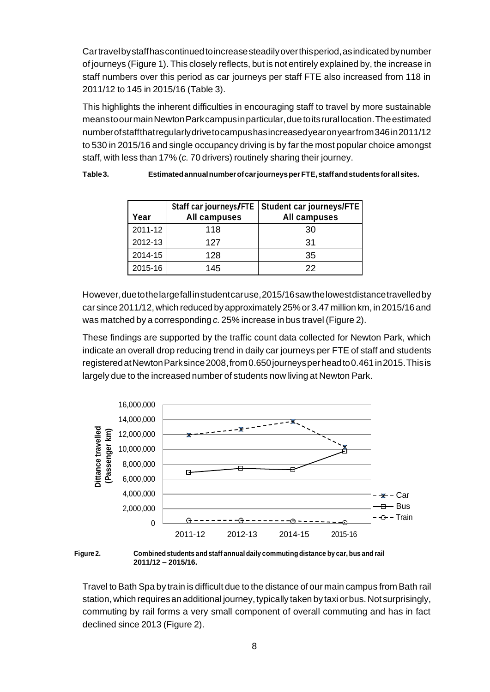Cartravelbystaffhascontinuedtoincreasesteadilyoverthisperiod,asindicatedbynumber of journeys [\(Figure](#page-6-1) 1). This closely reflects, but is not entirely explained by, the increase in staff numbers over this period as car journeys per staff FTE also increased from 118 in 2011/12 to 145 in 2015/16 [\(Table](#page-7-1) 3).

This highlights the inherent difficulties in encouraging staff to travel by more sustainable meanstoourmainNewtonParkcampusinparticular,duetoitsrurallocation.Theestimated numberofstaffthatregularlydrivetocampushasincreasedyearonyearfrom346in2011/12 to 530 in 2015/16 and single occupancy driving is by far the most popular choice amongst staff, with less than 17% (*c.* 70 drivers) routinely sharing their journey.

| Year    | Staff car journeys/FTE<br><b>All campuses</b> | Student car journeys/FTE<br><b>All campuses</b> |
|---------|-----------------------------------------------|-------------------------------------------------|
| 2011-12 | 118                                           | 30                                              |
| 2012-13 | 127                                           | 31                                              |
| 2014-15 | 128                                           | 35                                              |
| 2015-16 | 145                                           | 22                                              |

<span id="page-7-1"></span>**Table3. EstimatedannualnumberofcarjourneysperFTE,staffandstudentsforallsites.**

However,duetothelargefallinstudentcaruse,2015/16sawthelowestdistancetravelledby car since 2011/12,which reduced by approximately 25%or 3.47 million km,in 2015/16 and was matched by a corresponding *c.* 25% increase in bus travel [\(Figure](#page-7-0) 2).

These findings are supported by the traffic count data collected for Newton Park, which indicate an overall drop reducing trend in daily car journeys per FTE of staff and students registered at Newton Parksince 2008, from 0.650 journeys per head to 0.461 in 2015. This is largely due to the increased number of students now living at Newton Park.



<span id="page-7-0"></span>

Travel to Bath Spa by train is difficult due to the distance of our main campus from Bath rail station, which requires an additional journey, typically taken by taxi or bus. Not surprisingly, commuting by rail forms a very small component of overall commuting and has in fact declined since 2013 [\(Figure](#page-7-0) 2).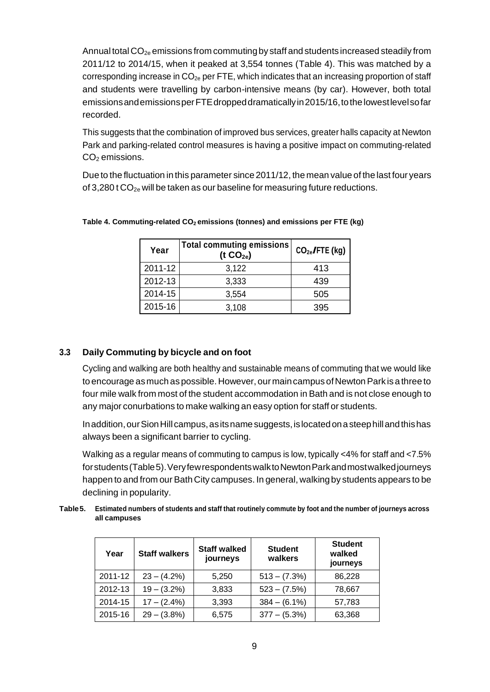Annual total  $CO_{2e}$  emissions from commuting by staff and students increased steadily from 2011/12 to 2014/15, when it peaked at 3,554 tonnes [\(Table 4\)](#page-8-0). This was matched by a corresponding increase in CO2e per FTE, which indicates that an increasing proportion of staff and students were travelling by carbon-intensive means (by car). However, both total emissionsandemissionsperFTEdroppeddramaticallyin2015/16,tothelowestlevelsofar recorded.

This suggests that the combination of improved bus services, greater halls capacity at Newton Park and parking-related control measures is having a positive impact on commuting-related CO<sub>2</sub> emissions.

Due to the fluctuation in this parameter since 2011/12, the mean value of the last four years of 3,280 t  $CO_{2e}$  will be taken as our baseline for measuring future reductions.

| Year    | <b>Total commuting emissions</b><br>(t $CO2e$ ) | $CO2e$ /FTE (kg) |
|---------|-------------------------------------------------|------------------|
| 2011-12 | 3,122                                           | 413              |
| 2012-13 | 3,333                                           | 439              |
| 2014-15 | 3,554                                           | 505              |
| 2015-16 | 3,108                                           | 395              |

<span id="page-8-0"></span>**Table 4. Commuting-related CO2 emissions (tonnes) and emissions per FTE (kg)**

# **3.3 Daily Commuting by bicycle and on foot**

Cycling and walking are both healthy and sustainable means of commuting that we would like to encourage as much as possible. However, our main campus of Newton Park is a three to four mile walk from most of the student accommodation in Bath and is not close enough to any major conurbations to make walking an easy option for staff or students.

Inaddition,ourSionHillcampus,asitsnamesuggests,islocatedonasteephillandthishas always been a significant barrier to cycling.

Walking as a regular means of commuting to campus is low, typically  $\lt 4\%$  for staff and  $\lt 7.5\%$ forstudents[\(Table5\)](#page-8-1).VeryfewrespondentswalktoNewtonParkandmostwalkedjourneys happen to and from our Bath City campuses. In general, walkingby students appears to be declining in popularity.

<span id="page-8-1"></span>

| Table 5. Estimated numbers of students and staff that routinely commute by foot and the number of journeys across |
|-------------------------------------------------------------------------------------------------------------------|
| all campuses                                                                                                      |

| Year    | <b>Staff walkers</b> | <b>Staff walked</b><br>journeys | <b>Student</b><br>walkers | <b>Student</b><br>walked<br>journeys |
|---------|----------------------|---------------------------------|---------------------------|--------------------------------------|
| 2011-12 | $23 - (4.2\%)$       | 5.250                           | $513 - (7.3\%)$           | 86,228                               |
| 2012-13 | $19 - (3.2\%)$       | 3.833                           | $523 - (7.5%)$            | 78,667                               |
| 2014-15 | $17 - (2.4\%)$       | 3,393                           | $384 - (6.1\%)$           | 57,783                               |
| 2015-16 | $29 - (3.8\%)$       | 6,575                           | $377 - (5.3\%)$           | 63,368                               |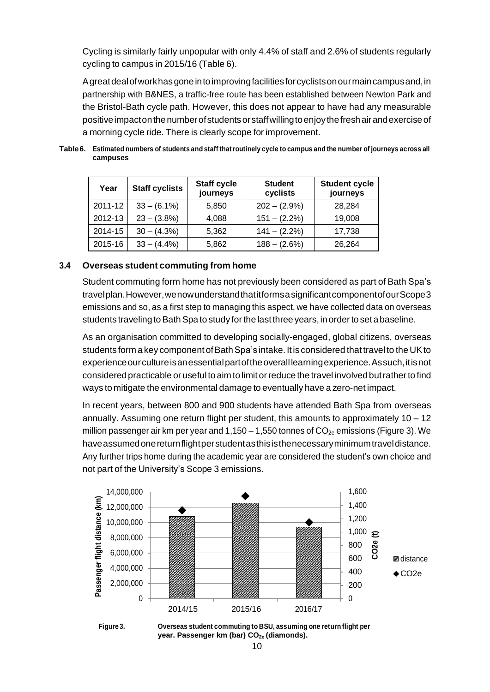Cycling is similarly fairly unpopular with only 4.4% of staff and 2.6% of students regularly cycling to campus in 2015/16 [\(Table](#page-9-0) 6).

Agreatdealofworkhasgoneintoimprovingfacilitiesforcyclistsonourmaincampusand,in partnership with B&NES, a traffic-free route has been established between Newton Park and the Bristol-Bath cycle path. However, this does not appear to have had any measurable positiveimpactonthenumberofstudentsorstaffwillingtoenjoythefreshairandexerciseof a morning cycle ride. There is clearly scope for improvement.

| Year    | <b>Staff cyclists</b> | <b>Staff cycle</b><br>journeys | <b>Student</b><br>cyclists | <b>Student cycle</b><br>journeys |
|---------|-----------------------|--------------------------------|----------------------------|----------------------------------|
| 2011-12 | $33 - (6.1\%)$        | 5,850                          | $202 - (2.9\%)$            | 28,284                           |
| 2012-13 | $23 - (3.8\%)$        | 4.088                          | $151 - (2.2\%)$            | 19,008                           |
| 2014-15 | $30 - (4.3\%)$        | 5,362                          | $141 - (2.2\%)$            | 17,738                           |
| 2015-16 | $33 - (4.4\%)$        | 5,862                          | $188 - (2.6%)$             | 26,264                           |

<span id="page-9-0"></span>Table 6. Estimated numbers of students and staff that routinely cycle to campus and the number of journeys across all **campuses**

## **3.4 Overseas student commuting from home**

Student commuting form home has not previously been considered as part of Bath Spa's travelplan.However,wenowunderstandthatitformsasignificantcomponentofourScope3 emissions and so, as a first step to managing this aspect, we have collected data on overseas students traveling to Bath Spa to study for the last three years, in order to set a baseline.

As an organisation committed to developing socially-engaged, global citizens, overseas students form a key component of Bath Spa's intake. It is considered that travel to the UK to experience our culture is an essential part of the overall learning experience. As such, it is not consideredpracticable or useful to aim to limitorreduce the travel involvedbutratherto find ways to mitigate the environmental damage to eventually have a zero-net impact.

In recent years, between 800 and 900 students have attended Bath Spa from overseas annually. Assuming one return flight per student, this amounts to approximately  $10 - 12$ million passenger air km per year and  $1,150 - 1,550$  tonnes of  $CO_{2e}$  emissions [\(Figure](#page-9-1) 3). We haveassumedonereturnflightperstudentasthisisthenecessaryminimumtraveldistance. Any further trips home during the academic year are considered the student's own choice and not part of the University's Scope 3 emissions.



<span id="page-9-1"></span>

**Figure3. Overseas student commuting to BSU, assuming one return flight per year. Passenger km (bar) CO2e (diamonds).**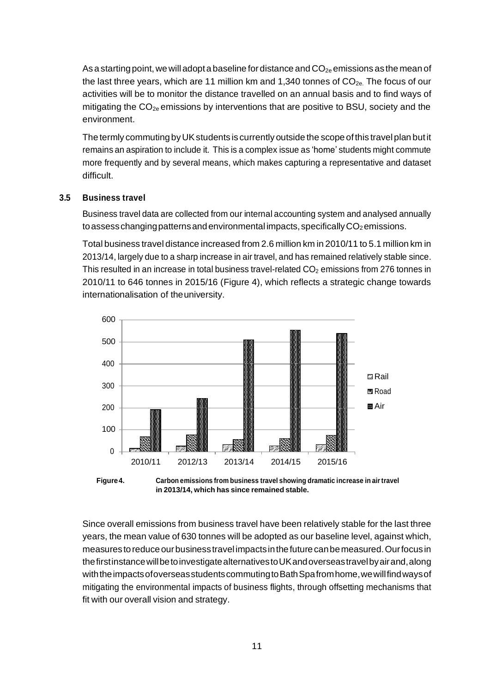As a starting point, we will adopt a baseline for distance and  $CO_{2e}$  emissions as the mean of the last three years, which are 11 million km and 1,340 tonnes of  $CO<sub>2e</sub>$ . The focus of our activities will be to monitor the distance travelled on an annual basis and to find ways of mitigating the  $CO_{2e}$  emissions by interventions that are positive to BSU, society and the environment.

The termly commutingbyUKstudents is currently outside the scope ofthis travel plan butit remains an aspiration to include it. This is a complex issue as 'home' students might commute more frequently and by several means, which makes capturing a representative and dataset difficult.

#### **3.5 Business travel**

Business travel data are collected from our internal accounting system and analysed annually to assess changing patterns and environmental impacts, specifically  $CO<sub>2</sub>$  emissions.

Total business travel distance increased from 2.6 million km in 2010/11 to 5.1 million km in 2013/14, largely due to a sharp increase in air travel, and has remained relatively stable since. This resulted in an increase in total business travel-related  $CO<sub>2</sub>$  emissions from 276 tonnes in 2010/11 to 646 tonnes in 2015/16 [\(Figure 4\)](#page-10-0), which reflects a strategic change towards internationalisation of theuniversity.



<span id="page-10-0"></span>**Figure 4. Carbon emissions from business travel showing dramatic increase in air travel in 2013/14, which has since remained stable.**

Since overall emissions from business travel have been relatively stable for the last three years, the mean value of 630 tonnes will be adopted as our baseline level, against which, measurestoreduceourbusinesstravel impactsinthefuturecanbemeasured.Ourfocusin thefirstinstancewillbetoinvestigatealternativestoUKandoverseastravelbyairand,along with the impacts of overseas students commuting to Bath Spafrom home, we will find ways of mitigating the environmental impacts of business flights, through offsetting mechanisms that fit with our overall vision and strategy.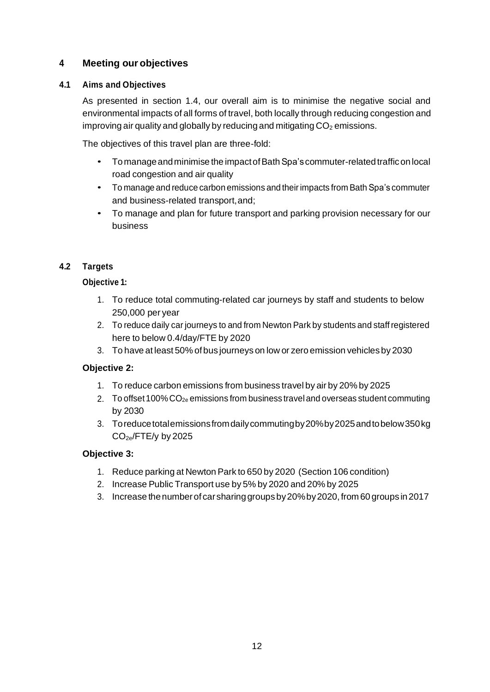# **4 Meeting our objectives**

# **4.1 Aims and Objectives**

As presented in section 1.4, our overall aim is to minimise the negative social and environmental impacts of all forms of travel, both locally through reducing congestion and improving air quality and globally by reducing and mitigating  $CO<sub>2</sub>$  emissions.

The objectives of this travel plan are three-fold:

- Tomanageandminimise the impactofBathSpa'scommuter-relatedtrafficonlocal road congestion and air quality
- To manage and reduce carbon emissions and theirimpacts from Bath Spa's commuter and business-related transport,and;
- To manage and plan for future transport and parking provision necessary for our business

# **4.2 Targets**

# **Objective 1:**

- 1. To reduce total commuting-related car journeys by staff and students to below 250,000 per year
- 2. To reduce daily car journeys to and from Newton Park by students and staffregistered here to below 0.4/day/FTE by 2020
- 3. To have at least 50% ofbus journeys on low or zero emission vehicles by 2030

# **Objective 2:**

- 1. To reduce carbon emissions from business travel by air by 20% by 2025
- 2. To offset 100%  $CO_{2e}$  emissions from business travel and overseas student commuting by 2030
- 3. Toreducetotalemissionsfromdailycommutingby20%by2025andtobelow350kg  $CO<sub>2e</sub>/FTE/y$  by 2025

# **Objective 3:**

- 1. Reduce parking at Newton Park to 650 by 2020 (Section 106 condition)
- 2. Increase Public Transport use by 5% by 2020 and 20% by 2025
- 3. Increase thenumberof carsharinggroups by20%by2020,from 60 groups in2017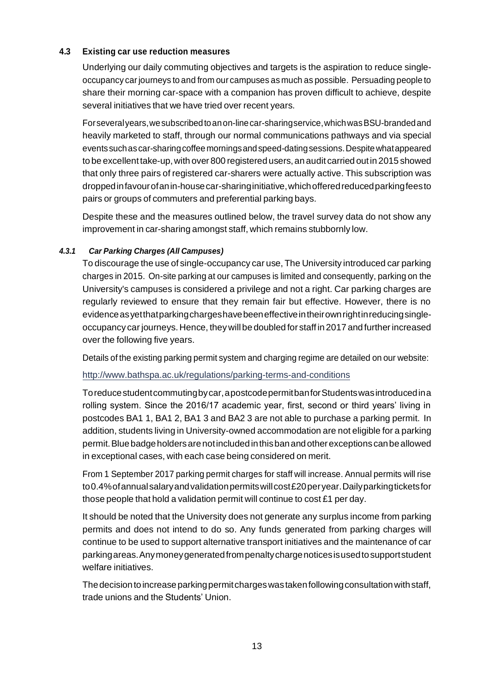#### **4.3 Existing car use reduction measures**

Underlying our daily commuting objectives and targets is the aspiration to reduce singleoccupancy car journeys to and from our campuses as much as possible. Persuading people to share their morning car-space with a companion has proven difficult to achieve, despite several initiatives that we have tried over recent years.

Forseveralyears,wesubscribedtoanon-linecar-sharingservice,whichwasBSU-brandedand heavily marketed to staff, through our normal communications pathways and via special events suchascar-sharingcoffee morningsand speed-datingsessions.Despite whatappeared to be excellent take-up, with over 800 registered users, an audit carried out in 2015 showed that only three pairs of registered car-sharers were actually active. This subscription was droppedinfavourofanin-housecar-sharinginitiative,whichofferedreducedparkingfeesto pairs or groups of commuters and preferential parking bays.

Despite these and the measures outlined below, the travel survey data do not show any improvement in car-sharing amongst staff, which remains stubbornly low.

#### *4.3.1 Car Parking Charges (All Campuses)*

To discourage the use of single-occupancy car use, The University introduced car parking charges in 2015. On-site parking at our campuses is limited and consequently, parking on the University's campuses is considered a privilege and not a right. Car parking charges are regularly reviewed to ensure that they remain fair but effective. However, there is no evidence as yet that parking charges have been effective in their own right in reducing singleoccupancy car journeys. Hence, they will be doubled for staff in 2017 and further increased over the following five years.

Details of the existing parking permit system and charging regime are detailed on our website:

<http://www.bathspa.ac.uk/regulations/parking-terms-and-conditions>

Toreducestudentcommutingby car,apostcodepermitbanforStudentswasintroducedina rolling system. Since the 2016/17 academic year, first, second or third years' living in postcodes BA1 1, BA1 2, BA1 3 and BA2 3 are not able to purchase a parking permit. In addition, students living in University-owned accommodation are not eligible for a parking permit.Bluebadgeholdersarenotincludedinthisbanandotherexceptionscanbeallowed in exceptional cases, with each case being considered on merit.

From 1 September 2017 parking permit charges for staff will increase. Annual permits will rise to0.4%ofannualsalaryandvalidationpermitswillcost£20peryear.Dailyparkingticketsfor those people that hold a validation permit will continue to cost £1 per day.

It should be noted that the University does not generate any surplus income from parking permits and does not intend to do so. Any funds generated from parking charges will continue to be used to support alternative transport initiatives and the maintenance of car parkingareas.Anymoneygeneratedfrompenaltychargenoticesis usedtosupportstudent welfare initiatives.

The decision toincrease parking permit charges was taken following consultation with staff, trade unions and the Students' Union.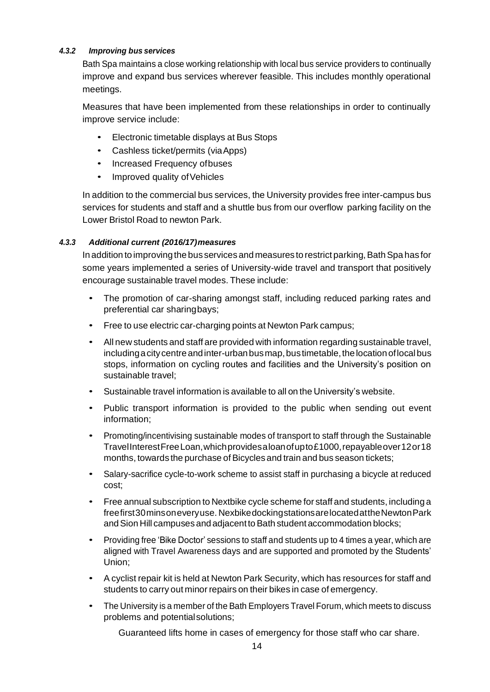#### *4.3.2 Improving busservices*

Bath Spa maintains a close working relationship with local bus service providers to continually improve and expand bus services wherever feasible. This includes monthly operational meetings.

Measures that have been implemented from these relationships in order to continually improve service include:

- Electronic timetable displays at Bus Stops
- Cashless ticket/permits (viaApps)
- Increased Frequency ofbuses
- Improved quality of Vehicles

In addition to the commercial bus services, the University provides free inter-campus bus services for students and staff and a shuttle bus from our overflow parking facility on the Lower Bristol Road to newton Park.

# *4.3.3 Additional current (2016/17)measures*

In addition to improving the bus services and measures to restrict parking, Bath Spa has for some years implemented a series of University-wide travel and transport that positively encourage sustainable travel modes. These include:

- The promotion of car-sharing amongst staff, including reduced parking rates and preferential car sharingbays;
- Free to use electric car-charging points at Newton Park campus;
- All new students and staff are provided with information regarding sustainable travel, including a city centre and inter-urban bus map, bus timetable, the location of local bus stops, information on cycling routes and facilities and the University's position on sustainable travel;
- Sustainable travel information is available to all on the University's website.
- Public transport information is provided to the public when sending out event information;
- Promoting/incentivising sustainable modes of transport to staff through the Sustainable TravelInterestFreeLoan,whichprovidesaloanofupto£1000,repayableover12or18 months, towards the purchase of Bicycles and train and bus season tickets;
- Salary-sacrifice cycle-to-work scheme to assist staff in purchasing a bicycle at reduced cost;
- Free annual subscription to Nextbike cycle scheme for staff and students, including a freefirst30minsoneveryuse. NexbikedockingstationsarelocatedattheNewtonPark and Sion Hill campuses and adjacent to Bath student accommodation blocks;
- Providing free 'Bike Doctor' sessions to staff and students up to 4 times a year, which are aligned with Travel Awareness days and are supported and promoted by the Students' Union;
- A cyclist repair kit is held at Newton Park Security, which has resources for staff and students to carry out minor repairs on their bikes in case of emergency.
- The University is a member of the Bath Employers Travel Forum, which meets to discuss problems and potentialsolutions;

Guaranteed lifts home in cases of emergency for those staff who car share.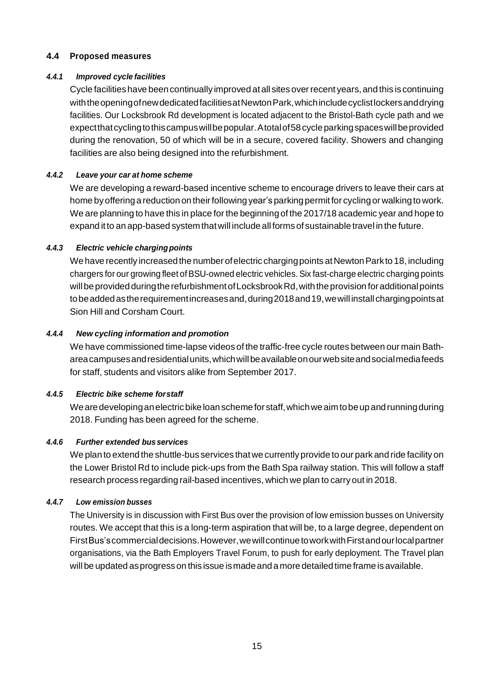#### **4.4 Proposed measures**

#### *4.4.1 Improved cyclefacilities*

Cycle facilitieshave beencontinually improved atall sitesoverrecent years,and this is continuing withtheopeningofnewdedicatedfacilitiesatNewtonPark,whichincludecyclistlockersanddrying facilities. Our Locksbrook Rd development is located adjacent to the Bristol-Bath cycle path and we expectthatcyclingtothiscampuswillbepopular.Atotalof58cycleparkingspaceswillbeprovided during the renovation, 50 of which will be in a secure, covered facility. Showers and changing facilities are also being designed into the refurbishment.

## *4.4.2 Leave your car at home scheme*

We are developing a reward-based incentive scheme to encourage drivers to leave their cars at home by offering a reduction on their following year's parking permit for cycling or walking to work. We are planning to have this in place for the beginningof the 2017/18 academic year and hope to expand itto an app-based system thatwill include all formsof sustainable travel in the future.

## *4.4.3 Electric vehicle chargingpoints*

We have recently increased the number of electric charging points at Newton Parkto 18, including chargers for our growing fleet of BSU-owned electric vehicles. Six fast-charge electric charging points will be provided during the refurbishment of Locksbrook Rd, with the provision for additional points to be added as the requirement increases and, during 2018 and 19, we will install charging points at Sion Hill and Corsham Court.

## *4.4.4 New cycling information and promotion*

We have commissioned time-lapse videos of the traffic-free cycle routes between our main Bathareacampusesandresidentialunits,whichwillbeavailableonourwebsiteandsocialmediafeeds for staff, students and visitors alike from September 2017.

#### *4.4.5 Electric bike scheme forstaff*

Wearedevelopinganelectricbikeloanschemeforstaff,whichweaimtobeupandrunningduring 2018. Funding has been agreed for the scheme.

#### *4.4.6 Further extended busservices*

We plan to extend the shuttle-bus services that we currently provide to our park and ride facility on the Lower Bristol Rd to include pick-ups from the Bath Spa railway station. This will follow a staff research process regarding rail-based incentives, which we plan to carryout in 2018.

#### *4.4.7 Low emission busses*

The University is in discussion with First Bus over the provision of low emission busses on University routes. We accept that this is a long-term aspiration that will be, to a large degree, dependent on FirstBus'scommercialdecisions.However,wewillcontinuetoworkwithFirstandourlocalpartner organisations, via the Bath Employers Travel Forum, to push for early deployment. The Travel plan will be updated as progress on this issue is made and a more detailed time frame is available.